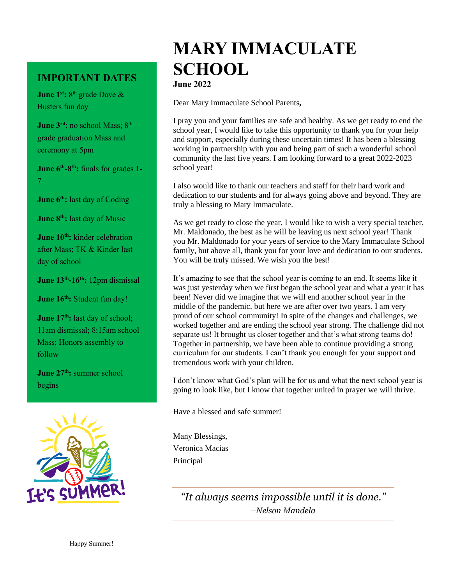## **IMPORTANT DATES**

**June 1<sup>st</sup>**: 8<sup>th</sup> grade Dave & Busters fun day

**June 3<sup>rd</sup>: no school Mass; 8<sup>th</sup>** grade graduation Mass and ceremony at 5pm

**June 6th -8 th:** finals for grades 1- 7

**June 6th:** last day of Coding

**June 8th:** last day of Music

**June 10th:** kinder celebration after Mass; TK & Kinder last day of school

**June 13th -16th:** 12pm dismissal

**June 16th:** Student fun day!

**June 17<sup>th</sup>:** last day of school; 11am dismissal; 8:15am school Mass; Honors assembly to follow

**June 27th:** summer school begins



# **MARY IMMACULATE SCHOOL**

**June 2022** 

Dear Mary Immaculate School Parents*,* 

I pray you and your families are safe and healthy. As we get ready to end the school year, I would like to take this opportunity to thank you for your help and support, especially during these uncertain times! It has been a blessing working in partnership with you and being part of such a wonderful school community the last five years. I am looking forward to a great 2022-2023 school year!

I also would like to thank our teachers and staff for their hard work and dedication to our students and for always going above and beyond. They are truly a blessing to Mary Immaculate.

As we get ready to close the year, I would like to wish a very special teacher, Mr. Maldonado, the best as he will be leaving us next school year! Thank you Mr. Maldonado for your years of service to the Mary Immaculate School family, but above all, thank you for your love and dedication to our students. You will be truly missed. We wish you the best!

It's amazing to see that the school year is coming to an end. It seems like it was just yesterday when we first began the school year and what a year it has been! Never did we imagine that we will end another school year in the middle of the pandemic, but here we are after over two years. I am very proud of our school community! In spite of the changes and challenges, we worked together and are ending the school year strong. The challenge did not separate us! It brought us closer together and that's what strong teams do! Together in partnership, we have been able to continue providing a strong curriculum for our students. I can't thank you enough for your support and tremendous work with your children.

I don't know what God's plan will be for us and what the next school year is going to look like, but I know that together united in prayer we will thrive.

Have a blessed and safe summer!

Many Blessings, Veronica Macias Principal

> *"It always seems impossible until it is done." –Nelson Mandela*